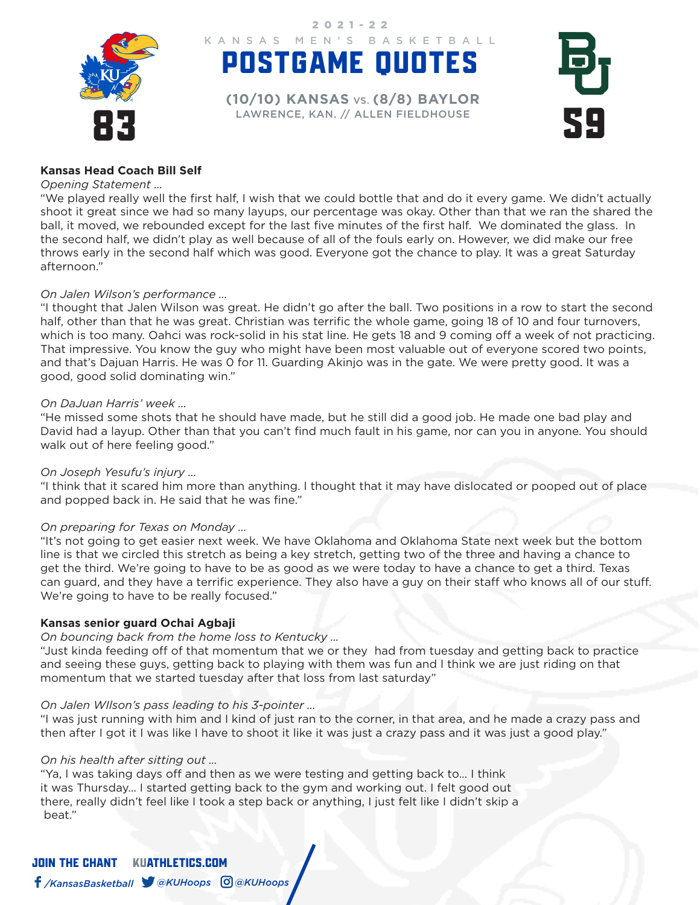

POSTGAME QUOTES KANSAS MEN'S BASKETBALL 2021-22

EXPRESSED DELLEN ENTERTAINMENCE, KAN. // ALLEN FIELDHOUSE **(10/10) KANSAS** VS. **(8/8) BAYLOR**



### **Kansas Head Coach Bill Self**

#### *Opening Statement …*

"We played really well the first half, I wish that we could bottle that and do it every game. We didn't actually shoot it great since we had so many layups, our percentage was okay. Other than that we ran the shared the ball, it moved, we rebounded except for the last five minutes of the first half. We dominated the glass. In the second half, we didn't play as well because of all of the fouls early on. However, we did make our free throws early in the second half which was good. Everyone got the chance to play. It was a great Saturday afternoon."

### *On Jalen Wilson's performance …*

"I thought that Jalen Wilson was great. He didn't go after the ball. Two positions in a row to start the second half, other than that he was great. Christian was terrific the whole game, going 18 of 10 and four turnovers, which is too many. Oahci was rock-solid in his stat line. He gets 18 and 9 coming off a week of not practicing. That impressive. You know the guy who might have been most valuable out of everyone scored two points, and that's Dajuan Harris. He was 0 for 11. Guarding Akinjo was in the gate. We were pretty good. It was a good, good solid dominating win."

### *On DaJuan Harris' week ...*

"He missed some shots that he should have made, but he still did a good job. He made one bad play and David had a layup. Other than that you can't find much fault in his game, nor can you in anyone. You should walk out of here feeling good."

### *On Joseph Yesufu's injury ...*

"I think that it scared him more than anything. I thought that it may have dislocated or pooped out of place and popped back in. He said that he was fine."

### *On preparing for Texas on Monday ...*

"It's not going to get easier next week. We have Oklahoma and Oklahoma State next week but the bottom line is that we circled this stretch as being a key stretch, getting two of the three and having a chance to get the third. We're going to have to be as good as we were today to have a chance to get a third. Texas can guard, and they have a terrific experience. They also have a guy on their staff who knows all of our stuff. We're going to have to be really focused."

### **Kansas senior guard Ochai Agbaji**

#### *On bouncing back from the home loss to Kentucky …*

"Just kinda feeding off of that momentum that we or they had from tuesday and getting back to practice and seeing these guys, getting back to playing with them was fun and I think we are just riding on that momentum that we started tuesday after that loss from last saturday"

### *On Jalen WIlson's pass leading to his 3-pointer …*

"I was just running with him and I kind of just ran to the corner, in that area, and he made a crazy pass and then after I got it I was like I have to shoot it like it was just a crazy pass and it was just a good play."

### *On his health after sitting out …*

"Ya, I was taking days off and then as we were testing and getting back to… I think it was Thursday… I started getting back to the gym and working out. I felt good out there, really didn't feel like I took a step back or anything, I just felt like I didn't skip a beat."

JOIN THE CHANTKUATHLETICS.COM */KansasBasketball @KUHoops @KUHoops*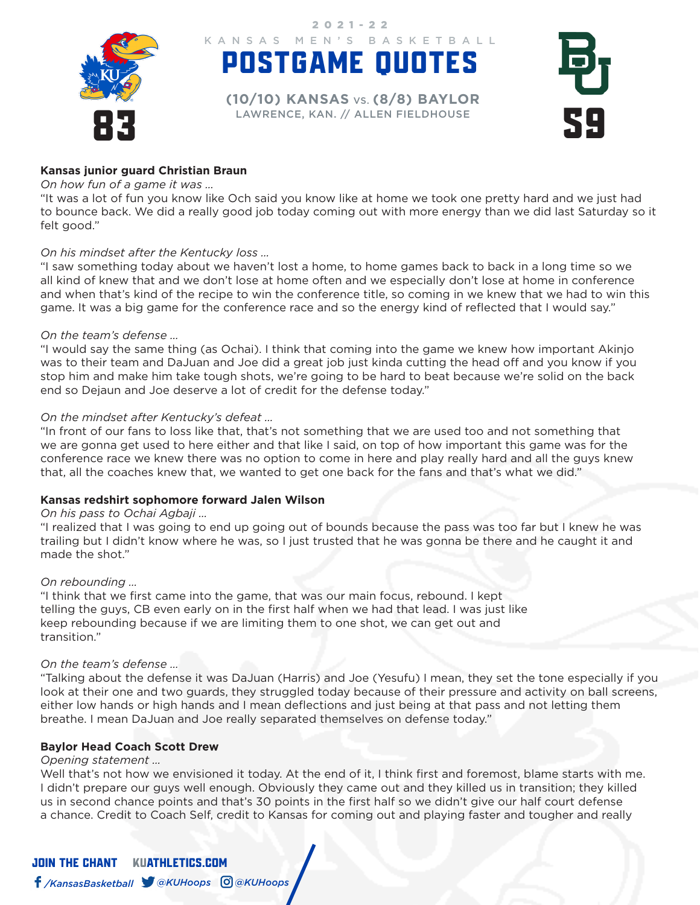

POSTGAME QUOTES KANSAS MEN'S BASKETBALL 2021-22

EXPRESSED DELLEN ENTERTAINMENCE, KAN. // ALLEN FIELDHOUSE **(10/10) KANSAS** VS. **(8/8) BAYLOR**



### **Kansas junior guard Christian Braun**

### *On how fun of a game it was …*

"It was a lot of fun you know like Och said you know like at home we took one pretty hard and we just had to bounce back. We did a really good job today coming out with more energy than we did last Saturday so it felt good."

### *On his mindset after the Kentucky loss …*

"I saw something today about we haven't lost a home, to home games back to back in a long time so we all kind of knew that and we don't lose at home often and we especially don't lose at home in conference and when that's kind of the recipe to win the conference title, so coming in we knew that we had to win this game. It was a big game for the conference race and so the energy kind of reflected that I would say."

### *On the team's defense …*

"I would say the same thing (as Ochai). I think that coming into the game we knew how important Akinjo was to their team and DaJuan and Joe did a great job just kinda cutting the head off and you know if you stop him and make him take tough shots, we're going to be hard to beat because we're solid on the back end so Dejaun and Joe deserve a lot of credit for the defense today."

### *On the mindset after Kentucky's defeat …*

"In front of our fans to loss like that, that's not something that we are used too and not something that we are gonna get used to here either and that like I said, on top of how important this game was for the conference race we knew there was no option to come in here and play really hard and all the guys knew that, all the coaches knew that, we wanted to get one back for the fans and that's what we did."

### **Kansas redshirt sophomore forward Jalen Wilson**

### *On his pass to Ochai Agbaji …*

"I realized that I was going to end up going out of bounds because the pass was too far but I knew he was trailing but I didn't know where he was, so I just trusted that he was gonna be there and he caught it and made the shot."

### *On rebounding …*

"I think that we first came into the game, that was our main focus, rebound. I kept telling the guys, CB even early on in the first half when we had that lead. I was just like keep rebounding because if we are limiting them to one shot, we can get out and transition."

### *On the team's defense …*

"Talking about the defense it was DaJuan (Harris) and Joe (Yesufu) I mean, they set the tone especially if you look at their one and two guards, they struggled today because of their pressure and activity on ball screens, either low hands or high hands and I mean deflections and just being at that pass and not letting them breathe. I mean DaJuan and Joe really separated themselves on defense today."

### **Baylor Head Coach Scott Drew**

## *Opening statement …*

Well that's not how we envisioned it today. At the end of it, I think first and foremost, blame starts with me. I didn't prepare our guys well enough. Obviously they came out and they killed us in transition; they killed us in second chance points and that's 30 points in the first half so we didn't give our half court defense a chance. Credit to Coach Self, credit to Kansas for coming out and playing faster and tougher and really